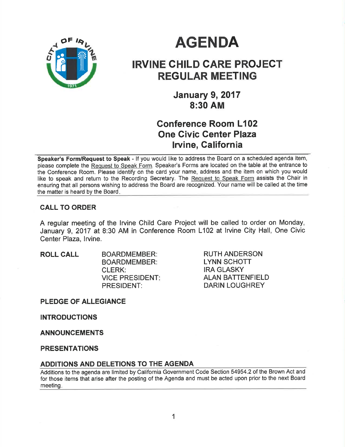

# **AGENDA**

# IRVINE CHILD CARE PROJECT REGULAR MEETING

**January 9, 2017** 8:30 AM

# Gonference Room L102 One Givic Center Plaza lrvine, California

Speaker's Form/Request to Speak - If you would like to address the Board on a scheduled agenda item, please complete the Request to Speak Form. Speaker's Forms are located on the table at the entrance to the Conference Room. Please identify on the card your name, address and the item on which you would like to speak and return to the Recording Secretary. The Request to Speak Form assists the Chair in ensuring that all persons wishing to address the Board are recognized. Your name will be called at the time the matter is heard by the Board

# CALL TO ORDER

A regular meeting of the lrvine Child Care Project will be called to order on Monday, January 9, 2017 at 8:30 AM in Conference Room L102 at lrvine City Hall, One Civic Center Plaza, Irvine.

ROLL CALL BOARDMEMBER: BOARDMEMBER: CLERK: VICE PRESIDENT PRESIDENT:

RUTH ANDERSON LYNN SCHOTT IRA GLASKY ALAN BATTENFIELD DARIN LOUGHREY

PLEDGE OF ALLEGIANCE

INTRODUCTIONS

ANNOUNCEMENTS

PRESENTATIONS

#### ADDITIONS AND DELETIONS TO THE AGENDA

Additions to the agenda are limited by California Government Code Section 54954.2 of the Brown Act and for those items that arise after the posting of the Agenda and must be acted upon prior to the next Board meeting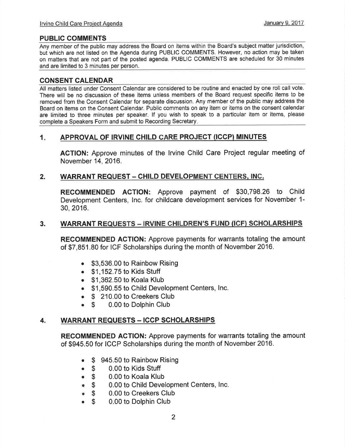# PUBLIC COMMENTS

Any member of the public may address the Board on items within the Board's subject matter jurisdiction, but which are not listed on the Agenda during PUBLIC COMMENTS. However, no action may be taken on matters that are not part of the posted agenda. PUBLIC COMMENTS are scheduled for 30 minutes and are limited to 3 minutes per person.

# CONSENT GALENDAR

All matters listed under Consent Calendar are considered to be routine and enacted by one roll call vote. There will be no discussion of these items unless members of the Board request specific items to be removed from the Consent Calendar for separate discussion. Any member of the public may address the Board on items on the Consent Calendar. Public comments on any item or items on the consent calendar are limited to three minutes per speaker. lf you wish to speak to a particular item or items, please complete a Speakers Form and submit to Recording Secretary

# 1. APPROVAL OF IRVINE CHILD CARE PROJECT (ICCP) MINUTES

AGTION: Approve minutes of the lrvine Child Care Project regular meeting of November 14,2016.

## 2. WARRANT REQUEST - CHILD DEVELOPMENT CENTERS, INC.

RECOMMENDED AGTION: Approve payment of \$30,798.26 to Child Development Centers, lnc. for childcare development services for November 1- 30, 2016.

#### 3. WARRANT REQUESTS - IRVINE CHILDREN'S FUND (ICF) SCHOLARSHIPS

RECOMMENDED AGTION: Approve payments for warrants totaling the amount of \$7,851.80 for ICF Scholarships during the month of November 2016.

- . \$3,536.00 to Rainbow Rising
- $\bullet$  \$1,152.75 to Kids Stuff
- . \$1,362.50 to Koala Klub
- . \$1,590.55 to Child Development Centers, Inc.
- 
- **S** 210.00 to Creekers Club<br>**S** 0.00 to Dolphin Club • \$ 0.00 to Dolphin Club

# 4. WARRANT REQUESTS - ICCP SCHOLARSHIPS

RECOMMENDED ACTION: Approve payments for warrants totaling the amount of \$945.50 for ICCP Scholarships during the month of November 2016.

- \$ 945.50 to Rainbow Rising<br>● \$ 0.00 to Kids Stuff
- 
- o \$ 0.00 to Kids Stuff
- \$ 0.00 to Koala Klub<br>● \$ 0.00 to Child Devel **s** 0.00 to Child Development Centers, Inc.<br>**6** \$ 0.00 to Creekers Club
- **\$** 0.00 to Creekers Club<br>**\$** 0.00 to Dolphin Club
- 0.00 to Dolphin Club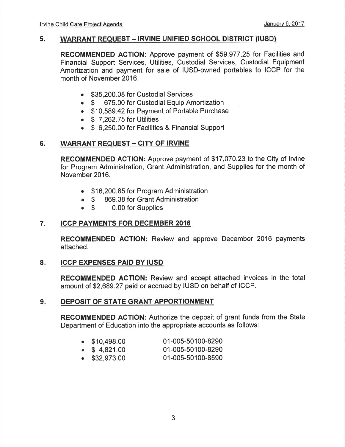#### 5. WARRANT REQUEST - IRVINE UNIFIED SCHOOL DISTRICT (IUSD)

RECOMMENDED ACTION: Approve payment of \$59,977.25 for Facilities and Financial Support Services, Utilities, Custodial Services, Custodial Equipment Amortization and payment for sale of IUSD-owned portables to ICCP for the month of November 2016.

- \$35,200.08 for Custodial Services
- \$ 675.00 for Custodial Equip Amortization
- . \$10,589.42 for Payment of Portable Purchase
- $\bullet$  \$ 7,262.75 for Utilities
- \$ 6,250.00 for Facilities & Financial Support

## 6. WARRANT REQUEST - CITY OF IRVINE

RECOMMENDED ACTION: Approve payment of \$17,070.23 to the City of lrvine for Program Administration, Grant Administration, and Supplies for the month of November 2016.

- \$16,200.85 for Program Administration
- \$ 869.38 for Grant Administration<br>• \$ 0.00 for Supplies
- 0.00 for Supplies

## 7. ICCP PAYMENTS FOR DECEMBER <sup>2016</sup>

RECOMMENDED ACTION: Review and approve December 2016 payments attached.

#### ICCP EXPENSES PAID BY IUSD 8

RECOMMENDED AGTION: Review and accept attached invoices in the total amount of \$2,689.27 paid or accrued by IUSD on behalf of ICCP.

#### 9. DEPOSIT OF STATE GRANT APPORTIONMENT

RECOMMENDED ACTION: Authorize the deposit of grant funds from the State Department of Education into the appropriate accounts as follows:

| $\bullet$ \$10,498.00 | 01-005-50100-8290 |
|-----------------------|-------------------|

- $\bullet$  \$ 4,821.00 01-005-50100-8290
- . \$32,973.00 01-005-50100-8590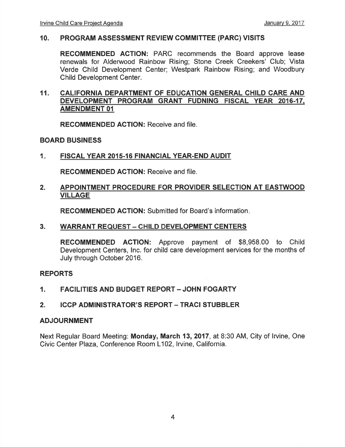#### 10. PRoGRAM ASSESSMENT REVIEW COMMITTEE (PARC) VISITS

RECOMMENDED ACTION: PARC recommends the Board approve lease renewals for Alderwood Rainbow Rising; Stone Creek Creekers' Club; Vista Verde Child Development Center; Westpark Rainbow Rising; and Woodbury Child Development Center.

#### 11. CALIFORNIA DEPARTMENT OF EDUCATION GENERAL CHILD CARE AND DEVELOPMENT PROGRAM GRANT FUDNING FISCAL YEAR 2016.17. AMENDMENT OI

RECOMMENDED ACTION: Receive and file.

## BOARD BUSINESS

1 FISCAL YEAR 2015-16 FINANCIAL YEAR-END AUDIT

RECOMMENDED AGTION: Receive and file.

#### 2. APPOINTMENT PROCEDURE FOR PROVIDER SELECTION AT EASTWOOD VILLAGE

RECOMMENDED AGTION: Submitted for Board's information

# 3. WARRANT REQUEST - CHILD DEVELOPMENT CENTERS

RECOMMENDED AGTION: Approve payment of \$8,958.00 to Child Development Centers, lnc. for child care development services for the months of July through October 2016.

#### REPORTS

- 1. FACILITIES AND BUDGET REPORT JOHN FOGARTY
- 2. ICCP ADMINISTRATOR'S REPORT TRACI STUBBLER

#### ADJOURNMENT

Next Regular Board Meeting: Monday, March 13,2017, at 8:30 AM, City of lrvine, One Civic Center Plaza, Conference Room L102, Irvine, California.